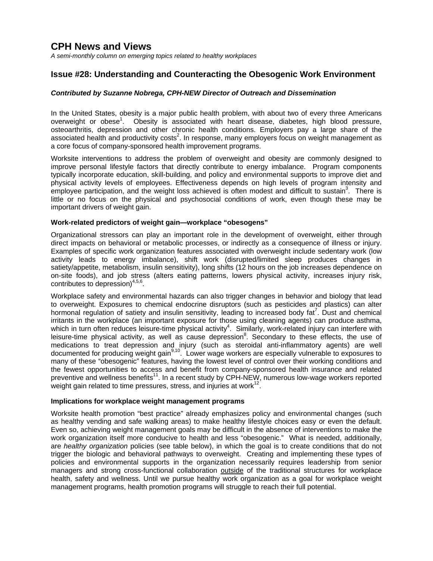# **CPH News and Views**

*A semi-monthly column on emerging topics related to healthy workplaces*

## **Issue #28: Understanding and Counteracting the Obesogenic Work Environment**

#### *Contributed by Suzanne Nobrega, CPH-NEW Director of Outreach and Dissemination*

In the United States, obesity is a major public health problem, with about two of every three Americans overweight or obese<sup>1</sup>. Obesity is associated with heart disease, diabetes, high blood pressure, osteoarthritis, depression and other chronic health conditions. Employers pay a large share of the associated health and productivity costs<sup>2</sup>. In response, many employers focus on weight management as a core focus of company-sponsored health improvement programs.

Worksite interventions to address the problem of overweight and obesity are commonly designed to improve personal lifestyle factors that directly contribute to energy imbalance. Program components typically incorporate education, skill-building, and policy and environmental supports to improve diet and physical activity levels of employees. Effectiveness depends on high levels of program intensity and employee participation, and the weight loss achieved is often modest and difficult to sustain<sup>3</sup>. There is little or no focus on the physical and psychosocial conditions of work, even though these may be important drivers of weight gain.

#### **Work-related predictors of weight gain—workplace "obesogens"**

Organizational stressors can play an important role in the development of overweight, either through direct impacts on behavioral or metabolic processes, or indirectly as a consequence of illness or injury. Examples of specific work organization features associated with overweight include sedentary work (low activity leads to energy imbalance), shift work (disrupted/limited sleep produces changes in satiety/appetite, metabolism, insulin sensitivity), long shifts (12 hours on the job increases dependence on on-site foods), and job stress (alters eating patterns, lowers physical activity, increases injury risk, contributes to depression) $4,5,6$ .

Workplace safety and environmental hazards can also trigger changes in behavior and biology that lead to overweight. Exposures to chemical endocrine disruptors (such as pesticides and plastics) can alter hormonal regulation of satiety and insulin sensitivity, leading to increased body fat<sup>7</sup>. Dust and chemical irritants in the workplace (an important exposure for those using cleaning agents) can produce asthma, which in turn often reduces leisure-time physical activity<sup>4</sup>. Similarly, work-related injury can interfere with leisure-time physical activity, as well as cause depression<sup>8</sup>. Secondary to these effects, the use of medications to treat depression and injury (such as steroidal anti-inflammatory agents) are well documented for producing weight gain<sup>9,10</sup>. Lower wage workers are especially vulnerable to exposures to many of these "obesogenic" features, having the lowest level of control over their working conditions and the fewest opportunities to access and benefit from company-sponsored health insurance and related preventive and wellness benefits<sup>11</sup>. In a recent study by CPH-NEW, numerous low-wage workers reported weight gain related to time pressures, stress, and injuries at work<sup>12</sup>.

#### **Implications for workplace weight management programs**

Worksite health promotion "best practice" already emphasizes policy and environmental changes (such as healthy vending and safe walking areas) to make healthy lifestyle choices easy or even the default. Even so, achieving weight management goals may be difficult in the absence of interventions to make the work organization itself more conducive to health and less "obesogenic." What is needed, additionally, are *healthy organization* policies (see table below), in which the goal is to create conditions that do not trigger the biologic and behavioral pathways to overweight. Creating and implementing these types of policies and environmental supports in the organization necessarily requires leadership from senior managers and strong cross-functional collaboration outside of the traditional structures for workplace health, safety and wellness. Until we pursue healthy work organization as a goal for workplace weight management programs, health promotion programs will struggle to reach their full potential.